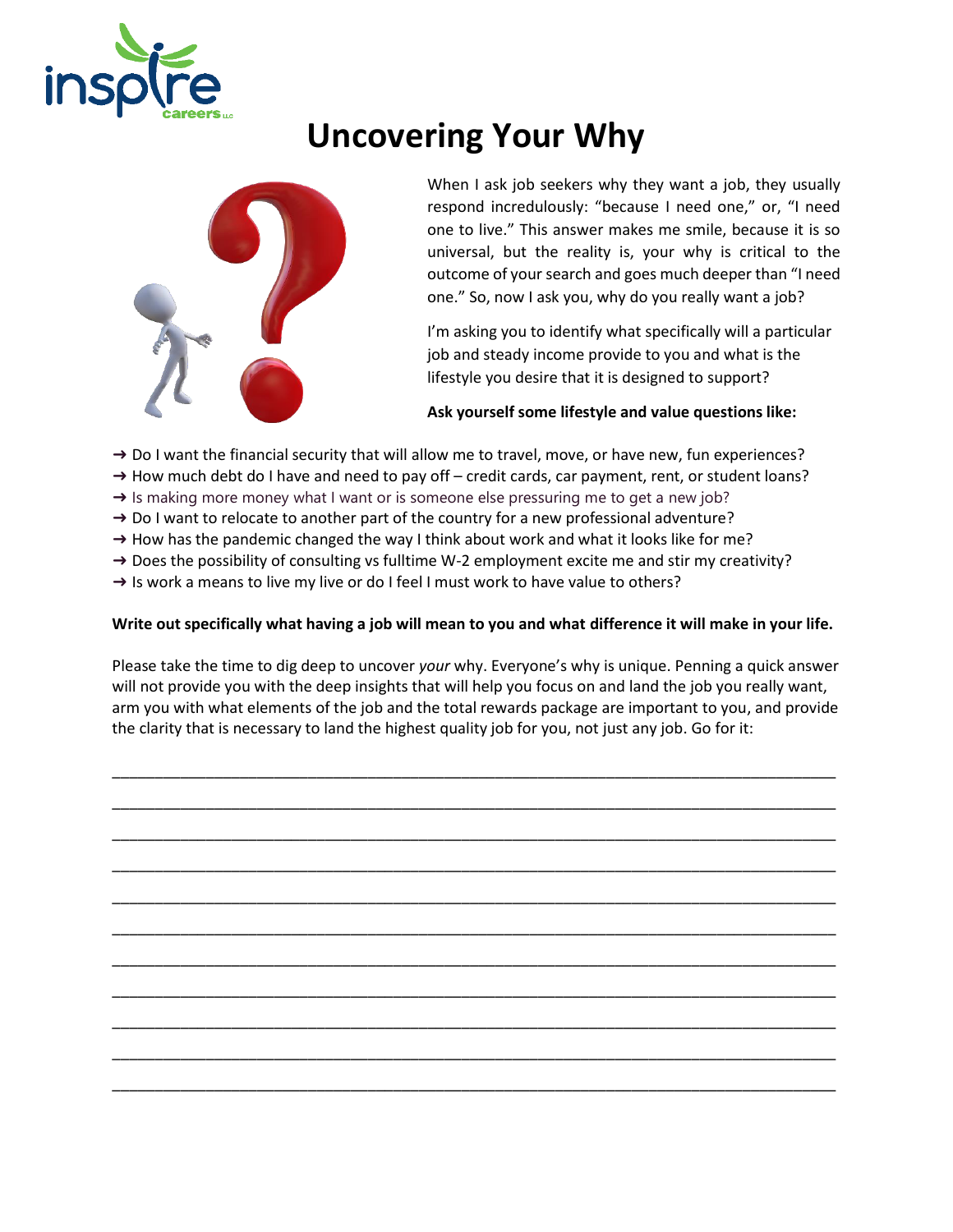

## **Uncovering Your Why**



When I ask job seekers why they want a job, they usually respond incredulously: "because I need one," or, "I need one to live." This answer makes me smile, because it is so universal, but the reality is, your why is critical to the outcome of your search and goes much deeper than "I need one." So, now I ask you, why do you really want a job?

I'm asking you to identify what specifically will a particular job and steady income provide to you and what is the lifestyle you desire that it is designed to support?

## **Ask yourself some lifestyle and value questions like:**

- → Do I want the financial security that will allow me to travel, move, or have new, fun experiences?
- → How much debt do I have and need to pay off credit cards, car payment, rent, or student loans?
- $\rightarrow$  Is making more money what I want or is someone else pressuring me to get a new job?
- $\rightarrow$  Do I want to relocate to another part of the country for a new professional adventure?
- $\rightarrow$  How has the pandemic changed the way I think about work and what it looks like for me?
- $\rightarrow$  Does the possibility of consulting vs fulltime W-2 employment excite me and stir my creativity?
- $\rightarrow$  Is work a means to live my live or do I feel I must work to have value to others?

## **Write out specifically what having a job will mean to you and what difference it will make in your life.**

Please take the time to dig deep to uncover *your* why. Everyone's why is unique. Penning a quick answer will not provide you with the deep insights that will help you focus on and land the job you really want, arm you with what elements of the job and the total rewards package are important to you, and provide the clarity that is necessary to land the highest quality job for you, not just any job. Go for it: